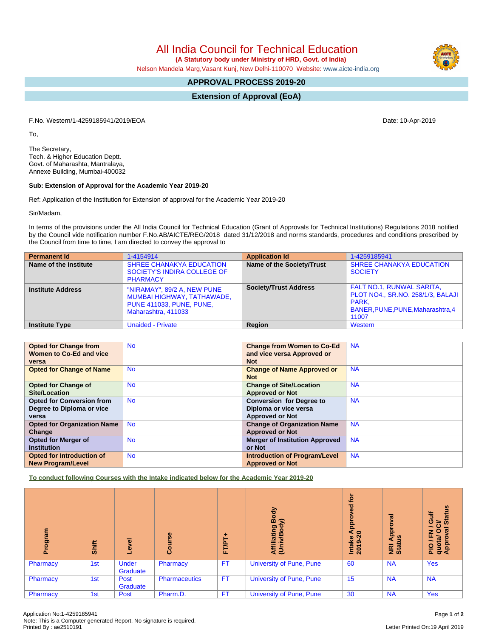All India Council for Technical Education

 **(A Statutory body under Ministry of HRD, Govt. of India)**

Nelson Mandela Marg,Vasant Kunj, New Delhi-110070 Website: [www.aicte-india.org](http://www.aicte-india.org)

## **APPROVAL PROCESS 2019-20**

**Extension of Approval (EoA)**

F.No. Western/1-4259185941/2019/EOA Date: 10-Apr-2019

To,

The Secretary, Tech. & Higher Education Deptt. Govt. of Maharashta, Mantralaya, Annexe Building, Mumbai-400032

## **Sub: Extension of Approval for the Academic Year 2019-20**

Ref: Application of the Institution for Extension of approval for the Academic Year 2019-20

Sir/Madam,

In terms of the provisions under the All India Council for Technical Education (Grant of Approvals for Technical Institutions) Regulations 2018 notified by the Council vide notification number F.No.AB/AICTE/REG/2018 dated 31/12/2018 and norms standards, procedures and conditions prescribed by the Council from time to time, I am directed to convey the approval to

| <b>Permanent Id</b>      | 1-4154914                                                                                                           | <b>Application Id</b>            | 1-4259185941                                                                                                                        |
|--------------------------|---------------------------------------------------------------------------------------------------------------------|----------------------------------|-------------------------------------------------------------------------------------------------------------------------------------|
| Name of the Institute    | <b>SHREE CHANAKYA EDUCATION</b><br>SOCIETY'S INDIRA COLLEGE OF<br><b>PHARMACY</b>                                   | <b>Name of the Society/Trust</b> | <b>SHREE CHANAKYA EDUCATION</b><br><b>SOCIETY</b>                                                                                   |
| <b>Institute Address</b> | "NIRAMAY", 89/2 A, NEW PUNE<br>MUMBAI HIGHWAY, TATHAWADE,<br><b>PUNE 411033, PUNE, PUNE,</b><br>Maharashtra, 411033 | <b>Society/Trust Address</b>     | <b>FALT NO.1, RUNWAL SARITA,</b><br><b>PLOT NO4., SR.NO. 258/1/3, BALAJI</b><br>PARK.<br>BANER, PUNE, PUNE, Maharashtra, 4<br>11007 |
| <b>Institute Type</b>    | <b>Unaided - Private</b>                                                                                            | Region                           | Western                                                                                                                             |

| <b>Opted for Change from</b>       | <b>No</b> | <b>Change from Women to Co-Ed</b>     | <b>NA</b> |
|------------------------------------|-----------|---------------------------------------|-----------|
| Women to Co-Ed and vice            |           | and vice versa Approved or            |           |
| versa                              |           | <b>Not</b>                            |           |
| <b>Opted for Change of Name</b>    | <b>No</b> | <b>Change of Name Approved or</b>     | <b>NA</b> |
|                                    |           | <b>Not</b>                            |           |
| <b>Opted for Change of</b>         | <b>No</b> | <b>Change of Site/Location</b>        | <b>NA</b> |
| <b>Site/Location</b>               |           | <b>Approved or Not</b>                |           |
| <b>Opted for Conversion from</b>   | <b>No</b> | <b>Conversion for Degree to</b>       | <b>NA</b> |
| Degree to Diploma or vice          |           | Diploma or vice versa                 |           |
| versa                              |           | <b>Approved or Not</b>                |           |
| <b>Opted for Organization Name</b> | <b>No</b> | <b>Change of Organization Name</b>    | <b>NA</b> |
| Change                             |           | <b>Approved or Not</b>                |           |
| Opted for Merger of                | <b>No</b> | <b>Merger of Institution Approved</b> | <b>NA</b> |
| <b>Institution</b>                 |           | or Not                                |           |
| <b>Opted for Introduction of</b>   | <b>No</b> | <b>Introduction of Program/Level</b>  | <b>NA</b> |
| <b>New Program/Level</b>           |           | <b>Approved or Not</b>                |           |

**To conduct following Courses with the Intake indicated below for the Academic Year 2019-20**

| ogram<br>ō. | Shift | g<br>ڡ            | rse<br>Cour          | FT/PT+    | Body<br>$\widehat{\phantom{a}}$<br>Affiliating<br>(Univ/Body | <b>jo</b><br>yed<br>App<br>Intake A<br>2019-20 | ह<br>ē<br>Appr<br>四<br><b>NE</b><br>Stat | <b>Status</b><br>ŧ<br>ō<br>ট<br>PIO / FN<br>quota/ Or<br>Approval |
|-------------|-------|-------------------|----------------------|-----------|--------------------------------------------------------------|------------------------------------------------|------------------------------------------|-------------------------------------------------------------------|
| Pharmacy    | 1st   | Under<br>Graduate | Pharmacy             | <b>FT</b> | <b>University of Pune, Pune</b>                              | 60                                             | <b>NA</b>                                | <b>Yes</b>                                                        |
| Pharmacy    | 1st   | Post<br>Graduate  | <b>Pharmaceutics</b> | <b>FT</b> | University of Pune, Pune                                     | 15                                             | <b>NA</b>                                | <b>NA</b>                                                         |
| Pharmacy    | 1st   | Post              | Pharm.D.             | <b>FT</b> | University of Pune, Pune                                     | 30                                             | <b>NA</b>                                | <b>Yes</b>                                                        |

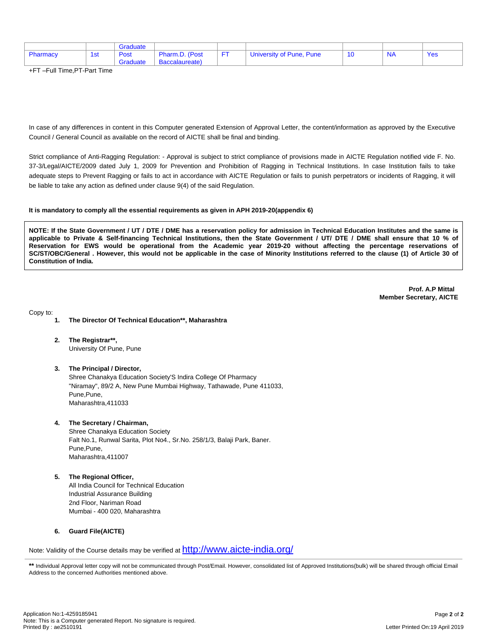|          |     | Graduate |                |                          |      |     |
|----------|-----|----------|----------------|--------------------------|------|-----|
| Pharmacy | 1st | Post     | Pharm.D. (Post | University of Pune, Pune | ' NA | Yes |
|          |     | Graduate | Baccalaureate) |                          |      |     |

+FT –Full Time,PT-Part Time

In case of any differences in content in this Computer generated Extension of Approval Letter, the content/information as approved by the Executive Council / General Council as available on the record of AICTE shall be final and binding.

Strict compliance of Anti-Ragging Regulation: - Approval is subject to strict compliance of provisions made in AICTE Regulation notified vide F. No. 37-3/Legal/AICTE/2009 dated July 1, 2009 for Prevention and Prohibition of Ragging in Technical Institutions. In case Institution fails to take adequate steps to Prevent Ragging or fails to act in accordance with AICTE Regulation or fails to punish perpetrators or incidents of Ragging, it will be liable to take any action as defined under clause 9(4) of the said Regulation.

## **It is mandatory to comply all the essential requirements as given in APH 2019-20(appendix 6)**

NOTE: If the State Government / UT / DTE / DME has a reservation policy for admission in Technical Education Institutes and the same is applicable to Private & Self-financing Technical Institutions, then the State Government / UT/ DTE / DME shall ensure that 10 % of Reservation for EWS would be operational from the Academic year 2019-20 without affecting the percentage reservations of SC/ST/OBC/General . However, this would not be applicable in the case of Minority Institutions referred to the clause (1) of Article 30 of **Constitution of India.**

> **Prof. A.P Mittal Member Secretary, AICTE**

Copy to:

- **1. The Director Of Technical Education\*\*, Maharashtra**
- **2. The Registrar\*\*,** University Of Pune, Pune
- **3. The Principal / Director,** Shree Chanakya Education Society'S Indira College Of Pharmacy "Niramay", 89/2 A, New Pune Mumbai Highway, Tathawade, Pune 411033, Pune, Pune, Maharashtra,411033
- **4. The Secretary / Chairman,** Shree Chanakya Education Society

Falt No.1, Runwal Sarita, Plot No4., Sr.No. 258/1/3, Balaji Park, Baner. Pune,Pune, Maharashtra,411007

**5. The Regional Officer,** All India Council for Technical Education Industrial Assurance Building 2nd Floor, Nariman Road Mumbai - 400 020, Maharashtra

## **6. Guard File(AICTE)**

Note: Validity of the Course details may be verified at <http://www.aicte-india.org/>

**\*\*** Individual Approval letter copy will not be communicated through Post/Email. However, consolidated list of Approved Institutions(bulk) will be shared through official Email Address to the concerned Authorities mentioned above.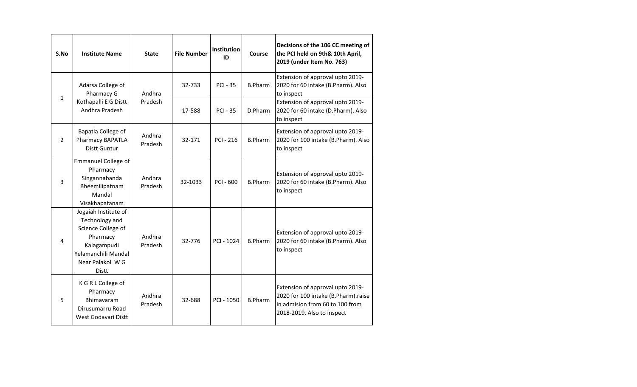| S.No           | <b>Institute Name</b>                                                                                                                             | <b>State</b>      | <b>File Number</b> | <b>Institution</b><br>ID | Course         | Decisions of the 106 CC meeting of<br>the PCI held on 9th& 10th April,<br>2019 (under Item No. 763)                                      |
|----------------|---------------------------------------------------------------------------------------------------------------------------------------------------|-------------------|--------------------|--------------------------|----------------|------------------------------------------------------------------------------------------------------------------------------------------|
| $\mathbf{1}$   | Adarsa College of<br>Pharmacy G                                                                                                                   | Andhra            | 32-733             | <b>PCI - 35</b>          | <b>B.Pharm</b> | Extension of approval upto 2019-<br>2020 for 60 intake (B.Pharm). Also<br>to inspect                                                     |
|                | Kothapalli E G Distt<br>Andhra Pradesh                                                                                                            | Pradesh           | 17-588             | <b>PCI - 35</b>          | D.Pharm        | Extension of approval upto 2019-<br>2020 for 60 intake (D.Pharm). Also<br>to inspect                                                     |
| $\overline{2}$ | Bapatla College of<br>Pharmacy BAPATLA<br><b>Distt Guntur</b>                                                                                     | Andhra<br>Pradesh | 32-171             | <b>PCI - 216</b>         | <b>B.Pharm</b> | Extension of approval upto 2019-<br>2020 for 100 intake (B.Pharm). Also<br>to inspect                                                    |
| 3              | <b>Emmanuel College of</b><br>Pharmacy<br>Singannabanda<br>Bheemilipatnam<br>Mandal<br>Visakhapatanam                                             | Andhra<br>Pradesh | 32-1033            | PCI - 600                | <b>B.Pharm</b> | Extension of approval upto 2019-<br>2020 for 60 intake (B.Pharm). Also<br>to inspect                                                     |
| $\overline{4}$ | Jogaiah Institute of<br>Technology and<br>Science College of<br>Pharmacy<br>Kalagampudi<br>Yelamanchili Mandal<br>Near Palakol WG<br><b>Distt</b> | Andhra<br>Pradesh | 32-776             | PCI - 1024               | <b>B.Pharm</b> | Extension of approval upto 2019-<br>2020 for 60 intake (B.Pharm). Also<br>to inspect                                                     |
| 5              | K G R L College of<br>Pharmacy<br>Bhimavaram<br>Dirusumarru Road<br>West Godavari Distt                                                           | Andhra<br>Pradesh | 32-688             | PCI - 1050               | <b>B.Pharm</b> | Extension of approval upto 2019-<br>2020 for 100 intake (B.Pharm).raise<br>in admision from 60 to 100 from<br>2018-2019. Also to inspect |